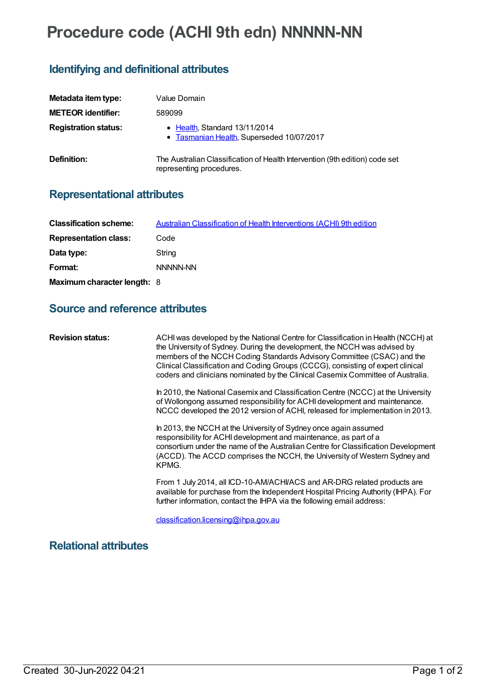# **Procedure code (ACHI 9th edn) NNNNN-NN**

### **Identifying and definitional attributes**

| Metadata item type:         | Value Domain                                                                                            |
|-----------------------------|---------------------------------------------------------------------------------------------------------|
| <b>METEOR</b> identifier:   | 589099                                                                                                  |
| <b>Registration status:</b> | • Health, Standard 13/11/2014<br>• Tasmanian Health, Superseded 10/07/2017                              |
| Definition:                 | The Australian Classification of Health Intervention (9th edition) code set<br>representing procedures. |

## **Representational attributes**

| <b>Classification scheme:</b> | <b>Australian Classification of Health Interventions (ACHI) 9th edition</b> |
|-------------------------------|-----------------------------------------------------------------------------|
| <b>Representation class:</b>  | Code                                                                        |
| Data type:                    | String                                                                      |
| Format:                       | NNNNN-NN                                                                    |
| Maximum character length: 8   |                                                                             |

#### **Source and reference attributes**

| <b>Revision status:</b> | ACHI was developed by the National Centre for Classification in Health (NCCH) at<br>the University of Sydney. During the development, the NCCH was advised by<br>members of the NCCH Coding Standards Advisory Committee (CSAC) and the<br>Clinical Classification and Coding Groups (CCCG), consisting of expert clinical<br>coders and clinicians nominated by the Clinical Casemix Committee of Australia. |
|-------------------------|---------------------------------------------------------------------------------------------------------------------------------------------------------------------------------------------------------------------------------------------------------------------------------------------------------------------------------------------------------------------------------------------------------------|
|                         | In 2010, the National Casemix and Classification Centre (NCCC) at the University<br>of Wollongong assumed responsibility for ACHI development and maintenance.<br>NCCC developed the 2012 version of ACHI, released for implementation in 2013.                                                                                                                                                               |
|                         | In 2013, the NCCH at the University of Sydney once again assumed<br>responsibility for ACHI development and maintenance, as part of a<br>consortium under the name of the Australian Centre for Classification Development<br>(ACCD). The ACCD comprises the NCCH, the University of Western Sydney and<br>KPMG.                                                                                              |
|                         | From 1 July 2014, all ICD-10-AM/ACHI/ACS and AR-DRG related products are<br>available for purchase from the Independent Hospital Pricing Authority (IHPA). For<br>further information, contact the IHPA via the following email address:                                                                                                                                                                      |
|                         | classification.licensing@ihpa.gov.au                                                                                                                                                                                                                                                                                                                                                                          |

**Relational attributes**